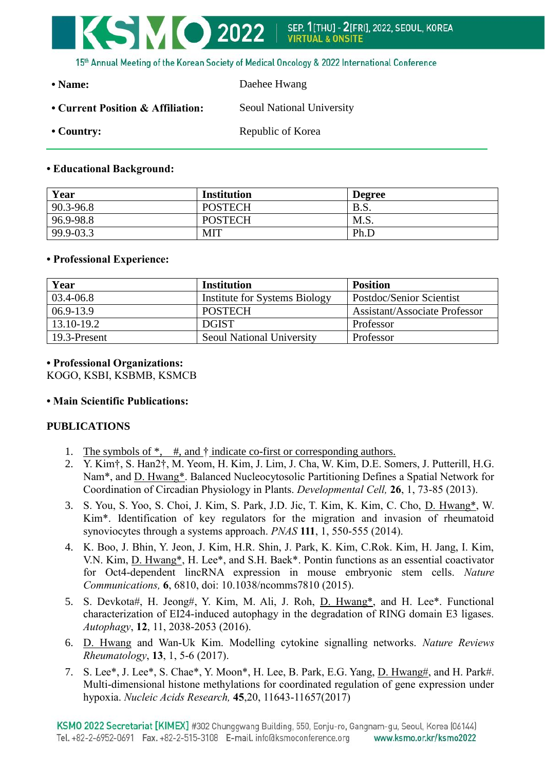

15th Annual Meeting of the Korean Society of Medical Oncology & 2022 International Conference

**• Name:** Daehee Hwang

- Current Position & Affiliation: Seoul National University
- 

• Country: Republic of Korea

## **• Educational Background:**

| Year      | <b>Institution</b> | <b>Degree</b> |
|-----------|--------------------|---------------|
| 90.3-96.8 | <b>POSTECH</b>     | B.S.          |
| 96.9-98.8 | <b>POSTECH</b>     | M.S.          |
| 99.9-03.3 | MIT                | Ph.L          |

## **• Professional Experience:**

| Year          | Institution                      | <b>Position</b>                      |
|---------------|----------------------------------|--------------------------------------|
| 03.4-06.8     | Institute for Systems Biology    | Postdoc/Senior Scientist             |
| $06.9 - 13.9$ | <b>POSTECH</b>                   | <b>Assistant/Associate Professor</b> |
| 13.10-19.2    | <b>DGIST</b>                     | Professor                            |
| 19.3-Present  | <b>Seoul National University</b> | Professor                            |

## **• Professional Organizations:**

KOGO, KSBI, KSBMB, KSMCB

# **• Main Scientific Publications:**

# **PUBLICATIONS**

- 1. The symbols of \*, #, and † indicate co-first or corresponding authors.
- 2. Y. Kim†, S. Han2†, M. Yeom, H. Kim, J. Lim, J. Cha, W. Kim, D.E. Somers, J. Putterill, H.G. Nam\*, and D. Hwang\*. Balanced Nucleocytosolic Partitioning Defines a Spatial Network for Coordination of Circadian Physiology in Plants. *Developmental Cell,* **26**, 1, 73-85 (2013).
- 3. S. You, S. Yoo, S. Choi, J. Kim, S. Park, J.D. Jic, T. Kim, K. Kim, C. Cho, D. Hwang\*, W. Kim\*. Identification of key regulators for the migration and invasion of rheumatoid synoviocytes through a systems approach. *PNAS* **111**, 1, 550-555 (2014).
- 4. K. Boo, J. Bhin, Y. Jeon, J. Kim, H.R. Shin, J. Park, K. Kim, C.Rok. Kim, H. Jang, I. Kim, V.N. Kim, D. Hwang\*, H. Lee\*, and S.H. Baek\*. Pontin functions as an essential coactivator for Oct4-dependent lincRNA expression in mouse embryonic stem cells. *Nature Communications,* **6**, 6810, doi: 10.1038/ncomms7810 (2015).
- 5. S. Devkota#, H. Jeong#, Y. Kim, M. Ali, J. Roh, D. Hwang\*, and H. Lee\*. Functional characterization of EI24-induced autophagy in the degradation of RING domain E3 ligases. *Autophagy*, **12**, 11, 2038-2053 (2016).
- 6. D. Hwang and Wan-Uk Kim. Modelling cytokine signalling networks. *Nature Reviews Rheumatology*, **13**, 1, 5-6 (2017).
- 7. S. Lee\*, J. Lee\*, S. Chae\*, Y. Moon\*, H. Lee, B. Park, E.G. Yang, D. Hwang#, and H. Park#. Multi-dimensional histone methylations for coordinated regulation of gene expression under hypoxia. *Nucleic Acids Research,* **45**,20, 11643-11657(2017)